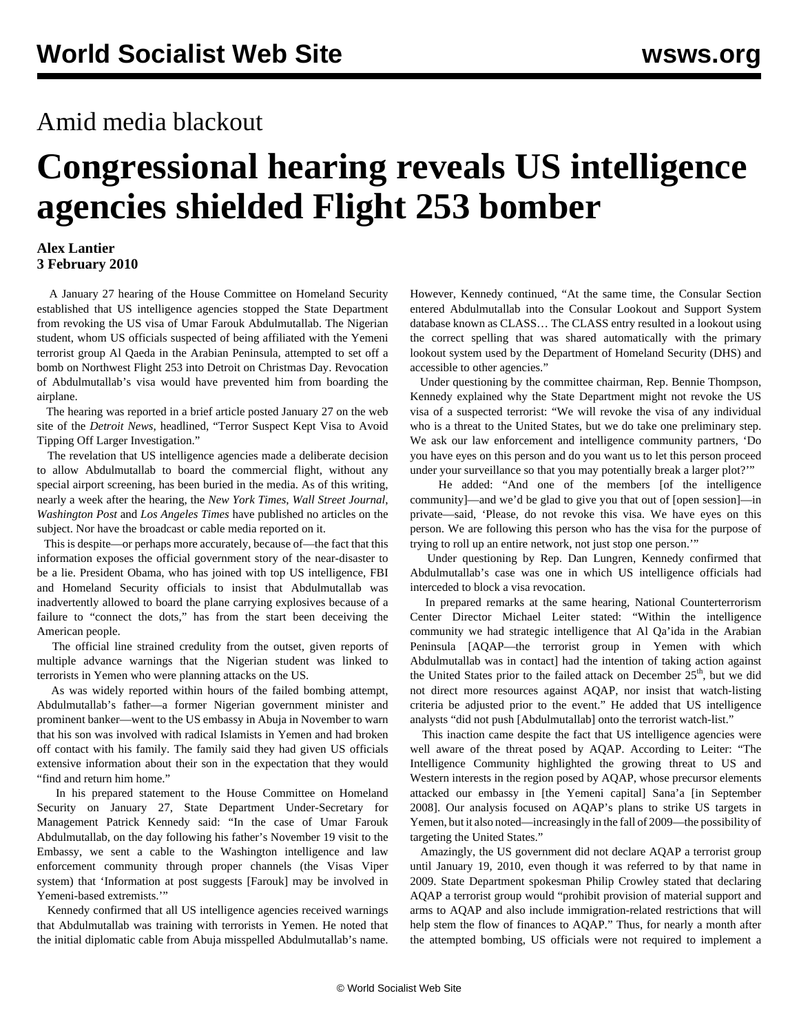## Amid media blackout

## **Congressional hearing reveals US intelligence agencies shielded Flight 253 bomber**

## **Alex Lantier 3 February 2010**

 A January 27 hearing of the House Committee on Homeland Security established that US intelligence agencies stopped the State Department from revoking the US visa of Umar Farouk Abdulmutallab. The Nigerian student, whom US officials suspected of being affiliated with the Yemeni terrorist group Al Qaeda in the Arabian Peninsula, attempted to set off a bomb on Northwest Flight 253 into Detroit on Christmas Day. Revocation of Abdulmutallab's visa would have prevented him from boarding the airplane.

 The hearing was reported in a brief article posted January 27 on the web site of the *Detroit News*, headlined, "Terror Suspect Kept Visa to Avoid Tipping Off Larger Investigation."

 The revelation that US intelligence agencies made a deliberate decision to allow Abdulmutallab to board the commercial flight, without any special airport screening, has been buried in the media. As of this writing, nearly a week after the hearing, the *New York Times*, *Wall Street Journal*, *Washington Post* and *Los Angeles Times* have published no articles on the subject. Nor have the broadcast or cable media reported on it.

 This is despite—or perhaps more accurately, because of—the fact that this information exposes the official government story of the near-disaster to be a lie. President Obama, who has joined with top US intelligence, FBI and Homeland Security officials to insist that Abdulmutallab was inadvertently allowed to board the plane carrying explosives because of a failure to "connect the dots," has from the start been deceiving the American people.

 The official line strained credulity from the outset, given reports of multiple advance warnings that the Nigerian student was linked to terrorists in Yemen who were planning attacks on the US.

 As was widely reported within hours of the failed bombing attempt, Abdulmutallab's father—a former Nigerian government minister and prominent banker—went to the US embassy in Abuja in November to warn that his son was involved with radical Islamists in Yemen and had broken off contact with his family. The family said they had given US officials extensive information about their son in the expectation that they would "find and return him home."

 In his prepared statement to the House Committee on Homeland Security on January 27, State Department Under-Secretary for Management Patrick Kennedy said: "In the case of Umar Farouk Abdulmutallab, on the day following his father's November 19 visit to the Embassy, we sent a cable to the Washington intelligence and law enforcement community through proper channels (the Visas Viper system) that 'Information at post suggests [Farouk] may be involved in Yemeni-based extremists.'"

 Kennedy confirmed that all US intelligence agencies received warnings that Abdulmutallab was training with terrorists in Yemen. He noted that the initial diplomatic cable from Abuja misspelled Abdulmutallab's name.

However, Kennedy continued, "At the same time, the Consular Section entered Abdulmutallab into the Consular Lookout and Support System database known as CLASS… The CLASS entry resulted in a lookout using the correct spelling that was shared automatically with the primary lookout system used by the Department of Homeland Security (DHS) and accessible to other agencies."

 Under questioning by the committee chairman, Rep. Bennie Thompson, Kennedy explained why the State Department might not revoke the US visa of a suspected terrorist: "We will revoke the visa of any individual who is a threat to the United States, but we do take one preliminary step. We ask our law enforcement and intelligence community partners, 'Do you have eyes on this person and do you want us to let this person proceed under your surveillance so that you may potentially break a larger plot?'"

 He added: "And one of the members [of the intelligence community]—and we'd be glad to give you that out of [open session]—in private—said, 'Please, do not revoke this visa. We have eyes on this person. We are following this person who has the visa for the purpose of trying to roll up an entire network, not just stop one person.'"

 Under questioning by Rep. Dan Lungren, Kennedy confirmed that Abdulmutallab's case was one in which US intelligence officials had interceded to block a visa revocation.

 In prepared remarks at the same hearing, National Counterterrorism Center Director Michael Leiter stated: "Within the intelligence community we had strategic intelligence that Al Qa'ida in the Arabian Peninsula [AQAP—the terrorist group in Yemen with which Abdulmutallab was in contact] had the intention of taking action against the United States prior to the failed attack on December 25<sup>th</sup>, but we did not direct more resources against AQAP, nor insist that watch-listing criteria be adjusted prior to the event." He added that US intelligence analysts "did not push [Abdulmutallab] onto the terrorist watch-list."

 This inaction came despite the fact that US intelligence agencies were well aware of the threat posed by AQAP. According to Leiter: "The Intelligence Community highlighted the growing threat to US and Western interests in the region posed by AQAP, whose precursor elements attacked our embassy in [the Yemeni capital] Sana'a [in September 2008]. Our analysis focused on AQAP's plans to strike US targets in Yemen, but it also noted—increasingly in the fall of 2009—the possibility of targeting the United States."

 Amazingly, the US government did not declare AQAP a terrorist group until January 19, 2010, even though it was referred to by that name in 2009. State Department spokesman Philip Crowley stated that declaring AQAP a terrorist group would "prohibit provision of material support and arms to AQAP and also include immigration-related restrictions that will help stem the flow of finances to AQAP." Thus, for nearly a month after the attempted bombing, US officials were not required to implement a